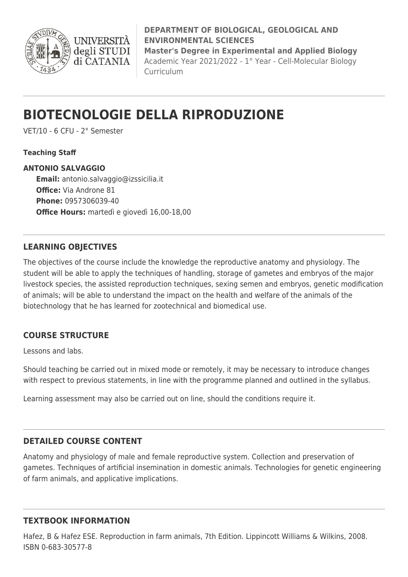

**DEPARTMENT OF BIOLOGICAL, GEOLOGICAL AND ENVIRONMENTAL SCIENCES Master's Degree in Experimental and Applied Biology** Academic Year 2021/2022 - 1° Year - Cell-Molecular Biology Curriculum

# **BIOTECNOLOGIE DELLA RIPRODUZIONE**

VET/10 - 6 CFU - 2° Semester

**Teaching Staff**

**ANTONIO SALVAGGIO Email:** [antonio.salvaggio@izssicilia.it](mailto:antonio.salvaggio@izssicilia.it) **Office:** Via Androne 81 **Phone:** 0957306039-40 **Office Hours:** martedì e giovedì 16,00-18,00

# **LEARNING OBJECTIVES**

The objectives of the course include the knowledge the reproductive anatomy and physiology. The student will be able to apply the techniques of handling, storage of gametes and embryos of the major livestock species, the assisted reproduction techniques, sexing semen and embryos, genetic modification of animals; will be able to understand the impact on the health and welfare of the animals of the biotechnology that he has learned for zootechnical and biomedical use.

# **COURSE STRUCTURE**

Lessons and labs.

Should teaching be carried out in mixed mode or remotely, it may be necessary to introduce changes with respect to previous statements, in line with the programme planned and outlined in the syllabus.

Learning assessment may also be carried out on line, should the conditions require it.

### **DETAILED COURSE CONTENT**

Anatomy and physiology of male and female reproductive system. Collection and preservation of gametes. Techniques of artificial insemination in domestic animals. Technologies for genetic engineering of farm animals, and applicative implications.

### **TEXTBOOK INFORMATION**

Hafez, B & Hafez ESE. Reproduction in farm animals, 7th Edition. Lippincott Williams & Wilkins, 2008. ISBN 0-683-30577-8